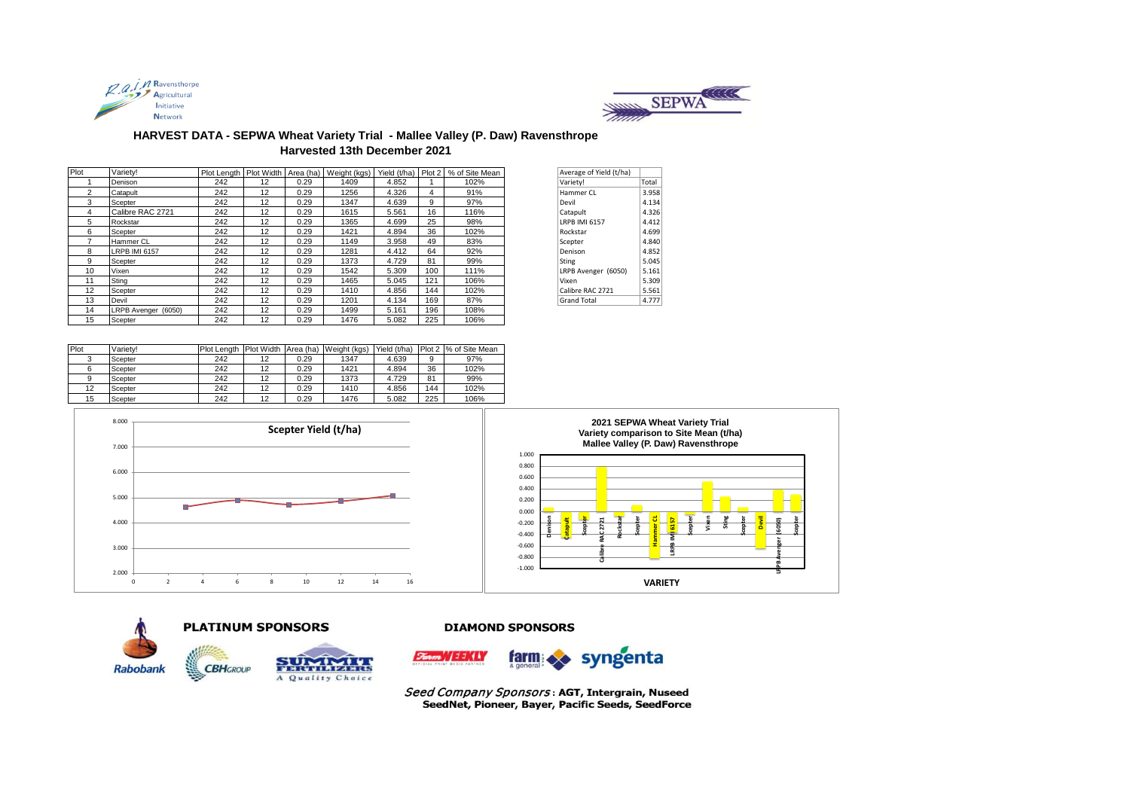



## **HARVEST DATA - SEPWA Wheat Variety Trial - Mallee Valley (P. Daw) Ravensthrope Harvested 13th December 2021**

| Plot         | Varietv!             |     |    |      |      |       |     | Plot Length   Plot Width   Area (ha)   Weight (kgs)   Yield (t/ha)   Plot 2   % of Site Mean | Average of Yield (t/ha) |       |
|--------------|----------------------|-----|----|------|------|-------|-----|----------------------------------------------------------------------------------------------|-------------------------|-------|
|              | Denison              | 242 | 12 | 0.29 | 1409 | 4.852 |     | 102%                                                                                         | Variety!                | Total |
| $\mathbf{2}$ | Catapult             | 242 | 12 | 0.29 | 1256 | 4.326 | 4   | 91%                                                                                          | Hammer CL               | 3.958 |
| 3            | Scepter              | 242 | 12 | 0.29 | 1347 | 4.639 | 9   | 97%                                                                                          | Devil                   | 4.134 |
| 4            | Calibre RAC 2721     | 242 | 12 | 0.29 | 1615 | 5.561 | 16  | 116%                                                                                         | Catapult                | 4.326 |
| 5            | Rockstar             | 242 | 12 | 0.29 | 1365 | 4.699 | 25  | 98%                                                                                          | <b>LRPB IMI 6157</b>    | 4.412 |
| 6            | Scepter              | 242 | 12 | 0.29 | 1421 | 4.894 | 36  | 102%                                                                                         | Rockstar                | 4.699 |
|              | Hammer CL            | 242 | 12 | 0.29 | 1149 | 3.958 | 49  | 83%                                                                                          | Scepter                 | 4.840 |
| 8            | <b>LRPB IMI 6157</b> | 242 | 12 | 0.29 | 1281 | 4.412 | 64  | 92%                                                                                          | Denison                 | 4.852 |
| 9            | Scepter              | 242 | 12 | 0.29 | 1373 | 4.729 | 81  | 99%                                                                                          | <b>Sting</b>            | 5.045 |
| 10           | Vixen                | 242 | 12 | 0.29 | 1542 | 5.309 | 100 | 111%                                                                                         | LRPB Avenger (6050)     | 5.161 |
| 11           | Sting                | 242 | 12 | 0.29 | 1465 | 5.045 | 121 | 106%                                                                                         | Vixen                   | 5.309 |
| 12           | Scepter              | 242 | 12 | 0.29 | 1410 | 4.856 | 144 | 102%                                                                                         | Calibre RAC 2721        | 5.561 |
| 13           | Devil                | 242 | 12 | 0.29 | 1201 | 4.134 | 169 | 87%                                                                                          | <b>Grand Total</b>      | 4.777 |
| 14           | LRPB Avenger (6050)  | 242 | 12 | 0.29 | 1499 | 5.161 | 196 | 108%                                                                                         |                         |       |
| 15           | Scepter              | 242 | 12 | 0.29 | 1476 | 5.082 | 225 | 106%                                                                                         |                         |       |

| Average of Yield (t/ha) |       |
|-------------------------|-------|
| Variety!                | Total |
| Hammer CL               | 3.958 |
| Devil                   | 4.134 |
| Catapult                | 4.326 |
| LRPB IMI 6157           | 4.412 |
| Rockstar                | 4.699 |
| Scepter                 | 4.840 |
| Denison                 | 4.852 |
| <b>Sting</b>            | 5.045 |
| LRPB Avenger (6050)     | 5.161 |
| Vixen                   | 5.309 |
| Calibre RAC 2721        | 5.561 |
| <b>Grand Total</b>      | 4.777 |
|                         |       |

| Plot | Variety! |     |    |      | Plot Length Plot Width Area (ha) Weight (kgs) | Yield (t/ha) |     | Plot 2 % of Site Mean |
|------|----------|-----|----|------|-----------------------------------------------|--------------|-----|-----------------------|
|      | Scepter  | 242 | 12 | 0.29 | 1347                                          | 4.639        | 9   | 97%                   |
|      | Scepter  | 242 | 12 | 0.29 | 1421                                          | 4.894        | 36  | 102%                  |
|      | Scepter  | 242 | 12 | 0.29 | 1373                                          | 4.729        | 81  | 99%                   |
| 12   | Scepter  | 242 | 12 | 0.29 | 1410                                          | 4.856        | 144 | 102%                  |
| 15   | Scepter  | 242 | 12 | 0.29 | 1476                                          | 5.082        | 225 | 106%                  |





**PLATINUM SPONSORS** 



#### **DIAMOND SPONSORS**



Seed Company Sponsors: AGT, Intergrain, Nuseed SeedNet, Pioneer, Bayer, Pacific Seeds, SeedForce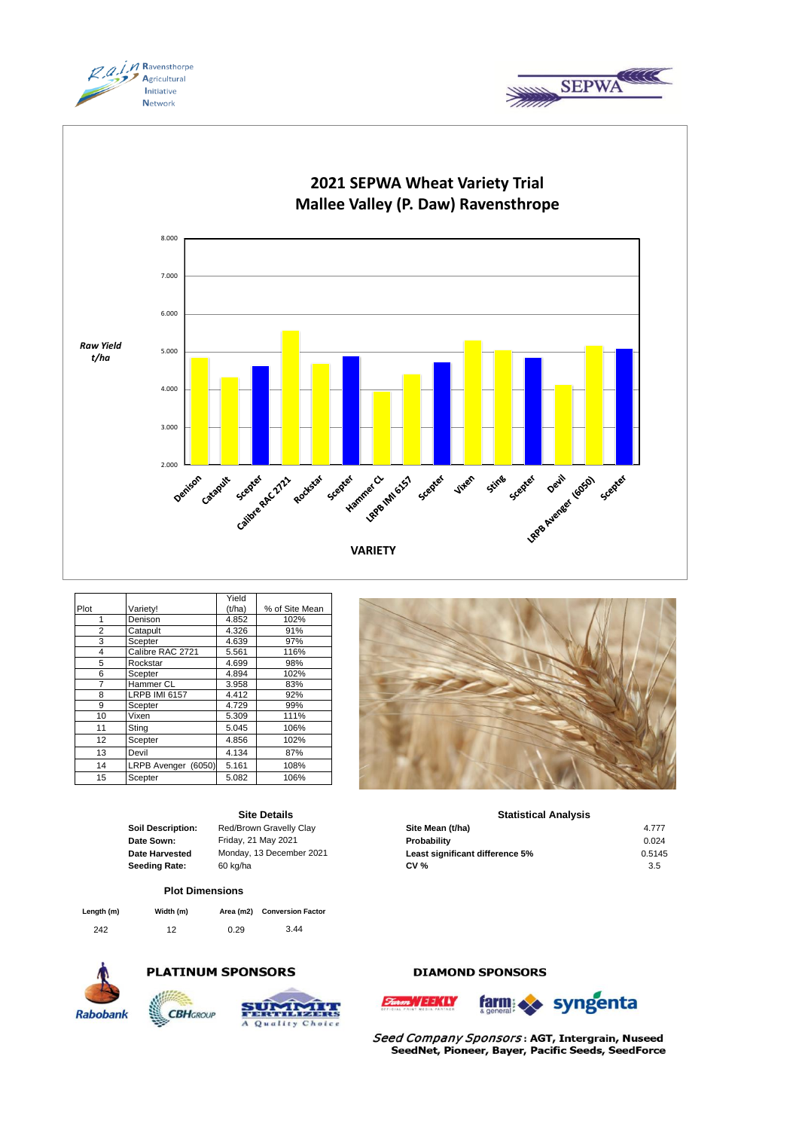





|      |                      | Yield  |                |
|------|----------------------|--------|----------------|
| Plot | Variety!             | (t/ha) | % of Site Mean |
| 1    | Denison              | 4.852  | 102%           |
| 2    | Catapult             | 4.326  | 91%            |
| 3    | Scepter              | 4.639  | 97%            |
| 4    | Calibre RAC 2721     | 5.561  | 116%           |
| 5    | Rockstar             | 4.699  | 98%            |
| 6    | Scepter              | 4.894  | 102%           |
| 7    | Hammer CL            | 3.958  | 83%            |
| 8    | <b>LRPB IMI 6157</b> | 4.412  | 92%            |
| 9    | Scepter              | 4.729  | 99%            |
| 10   | Vixen                | 5.309  | 111%           |
| 11   | Sting                | 5.045  | 106%           |
| 12   | Scepter              | 4.856  | 102%           |
| 13   | Devil                | 4.134  | 87%            |
| 14   | LRPB Avenger (6050)  | 5.161  | 108%           |
| 15   | Scepter              | 5.082  | 106%           |

## **Site Details**

**Soil Description:** Red/Brown Gravelly Clay

#### **Plot Dimensions**

| Length (m) | Width (m) |      | Area (m2) Conversion Factor |
|------------|-----------|------|-----------------------------|
| 242        | 12        | 0.29 | 3.44                        |



## **PLATINUM SPONSORS**





## **DIAMOND SPONSORS**

 $S_{\text{coarse}}/111/11$ 



Seed Company Sponsors: AGT, Intergrain, Nuseed SeedNet, Pioneer, Bayer, Pacific Seeds, SeedForce



### **Statistical Analysis**

| Red/Brown Gravelly Clay  | Site Mean (t/ha)                | 4.777  |
|--------------------------|---------------------------------|--------|
| Friday, 21 May 2021      | Probability                     | 0.024  |
| Monday, 13 December 2021 | Least significant difference 5% | 0.5145 |
| 60 kg/ha                 | <b>CV %</b>                     | 3.5    |
|                          |                                 |        |